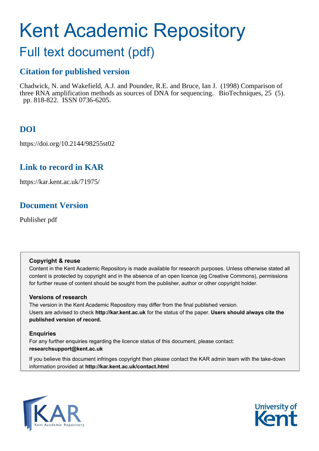# Kent Academic Repository

## Full text document (pdf)

## **Citation for published version**

Chadwick, N. and Wakefield, A.J. and Pounder, R.E. and Bruce, Ian J. (1998) Comparison of three RNA amplification methods as sources of DNA for sequencing. BioTechniques, 25 (5). pp. 818-822. ISSN 0736-6205.

## **DOI**

https://doi.org/10.2144/98255st02

## **Link to record in KAR**

https://kar.kent.ac.uk/71975/

## **Document Version**

Publisher pdf

#### **Copyright & reuse**

Content in the Kent Academic Repository is made available for research purposes. Unless otherwise stated all content is protected by copyright and in the absence of an open licence (eg Creative Commons), permissions for further reuse of content should be sought from the publisher, author or other copyright holder.

#### **Versions of research**

The version in the Kent Academic Repository may differ from the final published version. Users are advised to check **http://kar.kent.ac.uk** for the status of the paper. **Users should always cite the published version of record.**

#### **Enquiries**

For any further enquiries regarding the licence status of this document, please contact: **researchsupport@kent.ac.uk**

If you believe this document infringes copyright then please contact the KAR admin team with the take-down information provided at **http://kar.kent.ac.uk/contact.html**



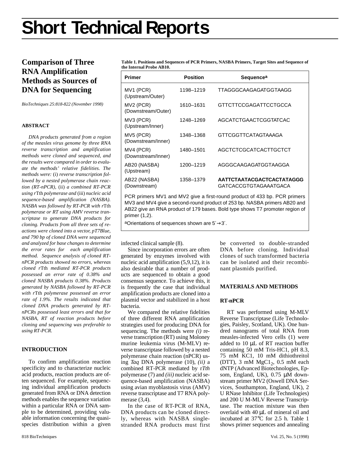## **Short Technical Reports**

### **Comparison of Three RNA Amplification Methods as Sources of DNA for Sequencing**

*BioTechniques 25:818-822 (November 1998)*

#### **ABSTRACT**

*DNA products generated from a region of the measles virus genome by three RNA reverse transcription and amplification methods were cloned and sequenced, and the results were compared in order to evaluate the methods' relative fidelities. The methods were:* (i) *reverse transcription followed by a nested polymerase chain reaction (RT-nPCR),* (ii) *a combined RT-PCR using r*Tth *polymerase and* (iii) *nucleic acid sequence-based amplification (NASBA). NASBA was followed by RT-PCR with r*Tth *polymerase or RT using AMV reverse transcriptase to generate DNA products for cloning. Products from all three sets of reactions were cloned into a vector, pT7Blue, and 790 bp of cloned DNA were sequenced and analyzed for base changes to determine the error rates for each amplification method. Sequence analysis of cloned RTnPCR products showed no errors, whereas cloned r*Tth *mediated RT-PCR products possessed an error rate of 0.38% and cloned NASBA products 0.38%. Products generated by NASBA followed by RT-PCR with r*Tth *polymerase possessed an error rate of 1.9%. The results indicated that cloned DNA products generated by RTnPCRs possessed least errors and that for NASBA, RT of reaction products before cloning and sequencing was preferable to using RT-PCR.*

#### **INTRODUCTION**

To confirm amplification reaction specificity and to characterize nucleic acid products, reaction products are often sequenced. For example, sequencing individual amplification products generated from RNA or DNA detection methods enables the sequence variation within a particular RNA or DNA sample to be determined, providing valuable information concerning the quasispecies distribution within a given

818 BioTechniques Vol. 25, No. 5 (1998)

**Table 1. Positions and Sequences of PCR Primers, NASBA Primers, Target Sites and Sequence of the Internal Probe AB10.**

| <b>Primer</b>                   | <b>Position</b> | Sequence <sup>a</sup>                                                                                                                                  |
|---------------------------------|-----------------|--------------------------------------------------------------------------------------------------------------------------------------------------------|
| MV1 (PCR)<br>(Upstream/Outer)   | 1198-1219       | <b>TTAGGGCAAGAGATGGTAAGG</b>                                                                                                                           |
| MV2 (PCR)<br>(Downstream/Outer) | 1610–1631       | GTTCTTCCGAGATTCCTGCCA                                                                                                                                  |
| MV3 (PCR)<br>(Upstream/Inner)   | 1248-1269       | <b>AGCATCTGAACTCGGTATCAC</b>                                                                                                                           |
| MV5 (PCR)<br>(Downstream/Inner) | 1348-1368       | GTTCGGTTCATAGTAAAGA                                                                                                                                    |
| MV4 (PCR)<br>(Downstream/Inner) | 1480-1501       | AGCTCTCGCATCACTTGCTCT                                                                                                                                  |
| AB20 (NASBA)<br>(Upstream)      | 1200-1219       | AGGGCAAGAGATGGTAAGGA                                                                                                                                   |
| AB22 (NASBA)<br>(Downstream)    | 1358–1379       | AATTCTAATACGACTCACTATAGGG<br>GATCACCGTGTAGAAATGACA                                                                                                     |
|                                 |                 | PCR primers MV1 and MV2 give a first-round product of 433 bp. PCR primers<br>MV3 and MV4 give a second-round product of 253 bp. NASBA primers AB20 and |

MV3 and MV4 give a second-round product of 253 bp. NASBA primers AB20 and AB22 give an RNA product of 179 bases. Bold type shows T7 promoter region of primer (1,2).

aOrientations of sequences shown are 5′→3′.

infected clinical sample (8).

Since incorporation errors are often generated by enzymes involved with nucleic acid amplification (5,9,12), it is also desirable that a number of products are sequenced to obtain a good consensus sequence. To achieve this, it is frequently the case that individual amplification products are cloned into a plasmid vector and stabilized in a host bacteria.

We compared the relative fidelities of three different RNA amplification strategies used for producing DNA for sequencing. The methods were *(i)* reverse transcription (RT) using Moloney murine leukemia virus (M-MLV) reverse transcriptase followed by a nested polymerase chain reaction (nPCR) using *Taq* DNA polymerase (10), *(ii)* a combined RT-PCR mediated by r*Tth* polymerase (7) and *(iii)* nucleic acid sequence-based amplification (NASBA) using avian myoblastosis virus (AMV) reverse transcriptase and T7 RNA polymerase (3,4).

In the case of RT-PCR of RNA, DNA products can be cloned directly, whereas with NASBA singlestranded RNA products must first be converted to double-stranded DNA before cloning. Individual clones of such transformed bacteria can be isolated and their recombinant plasmids purified.

#### **MATERIALS AND METHODS**

#### **RT-nPCR**

RT was performed using M-MLV Reverse Transcriptase (Life Technologies, Paisley, Scotland, UK). One hundred nanograms of total RNA from measles-infected Vero cells (1) were added to 10 µL of RT reaction buffer containing 50 mM Tris-HC1, pH 8.3, 75 mM KC1, 10 mM dithiothreitol (DTT), 3 mM  $MgCl<sub>2</sub>$ , 0.5 mM each dNTP (Advanced Biotechnologies, Epsom, England, UK), 0.75 µM downstream primer MV2 (Oswell DNA Services, Southampton, England, UK), 2 U RNase Inhibitor (Life Technologies) and 200 U M-MLV Reverse Transcriptase. The reaction mixture was then overlaid with 40 µL of mineral oil and incubated at 37°C for 2.5 h. Table 1 shows primer sequences and annealing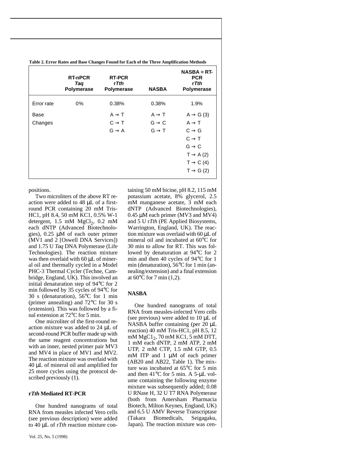|            | <b>RT-nPCR</b><br>Taq<br><b>Polymerase</b> | RT-PCR<br>r Tth<br><b>Polymerase</b> | <b>NASBA</b>      | $NASBA = RT$<br><b>PCR</b><br>r Tth<br><b>Polymerase</b> |
|------------|--------------------------------------------|--------------------------------------|-------------------|----------------------------------------------------------|
| Error rate | 0%                                         | 0.38%                                | 0.38%             | 1.9%                                                     |
| Base       |                                            | $A \rightarrow T$                    | $A \rightarrow T$ | $A \rightarrow G(3)$                                     |
| Changes    |                                            | $C \rightarrow T$                    | $G \rightarrow C$ | $A \rightarrow T$                                        |
|            |                                            | $G \rightarrow A$                    | $G \rightarrow T$ | $C \rightarrow G$                                        |
|            |                                            |                                      |                   | $C \rightarrow T$                                        |
|            |                                            |                                      |                   | $G \rightarrow C$                                        |
|            |                                            |                                      |                   | $T \rightarrow A(2)$                                     |
|            |                                            |                                      |                   | $T \rightarrow C(4)$                                     |
|            |                                            |                                      |                   | $T \rightarrow G(2)$                                     |

positions.

Two microliters of the above RT reaction were added to 48 µL of a firstround PCR containing 20 mM Tris-HC1, pH 8.4, 50 mM KC1, 0.5% W-1 detergent,  $1.5 \text{ mM } MgCl_2$ ,  $0.2 \text{ mM}$ each dNTP (Advanced Biotechnologies), 0.25 µM of each outer primer (MV1 and 2 [Oswell DNA Services]) and 1.75 U *Taq* DNA Polymerase (Life Technologies). The reaction mixture was then overlaid with 60  $\mu$ L of mineral oil and thermally cycled in a Model PHC-3 Thermal Cycler (Techne, Cambridge, England, UK). This involved an initial denaturation step of 94°C for 2 min followed by 35 cycles of 94°C for 30 s (denaturation), 56°C for 1 min (primer annealing) and 72°C for 30 s (extension). This was followed by a final extension at 72°C for 5 min.

One microliter of the first-round reaction mixture was added to 24 µL of second-round PCR buffer made up with the same reagent concentrations but with an inner, nested primer pair MV3 and MV4 in place of MV1 and MV2. The reaction mixture was overlaid with 40 µL of mineral oil and amplified for 25 more cycles using the protocol described previously (1).

#### **r***Tth* **Mediated RT-PCR**

One hundred nanograms of total RNA from measles infected Vero cells (see previous description) were added to 40 µL of r*Tth* reaction mixture containing 50 mM bicine, pH 8.2, 115 mM potassium acetate, 8% glycerol, 2.5 mM manganese acetate, 3 mM each dNTP (Advanced Biotechnologies), 0.45 µM each primer (MV3 and MV4) and 5 U r*Tth* (PE Applied Biosystems, Warrington, England, UK). The reaction mixture was overlaid with 60 µL of mineral oil and incubated at 60°C for 30 min to allow for RT. This was followed by denaturation at 94°C for 2 min and then 40 cycles of 94°C for 1 min (denaturation), 56°C for 1 min (annealing/extension) and a final extension at  $60^{\circ}$ C for 7 min (1,2).

#### **NASBA**

One hundred nanograms of total RNA from measles-infected Vero cells (see previous) were added to 10 µL of NASBA buffer containing (per 20 µL reaction) 40 mM Tris-HC1, pH 8.5, 12 mM MgC1<sub>2</sub>, 70 mM KC1, 5 mM DTT, 1 mM each dNTP, 2 mM ATP, 2 mM UTP, 2 mM CTP, 1.5 mM GTP, 0.5 mM ITP and 1 μM of each primer (AB20 and AB22, Table 1). The mixture was incubated at 65°C for 5 min and then 41°C for 5 min. A 5-µL volume containing the following enzyme mixture was subsequently added; 0.08 U RNase H, 32 U T7 RNA Polymerase (both from Amersham Pharmacia Biotech, Milton Keynes, England, UK) and 6.5 U AMV Reverse Transcriptase (Takara Biomedicals, Seigagaku, Japan). The reaction mixture was cen-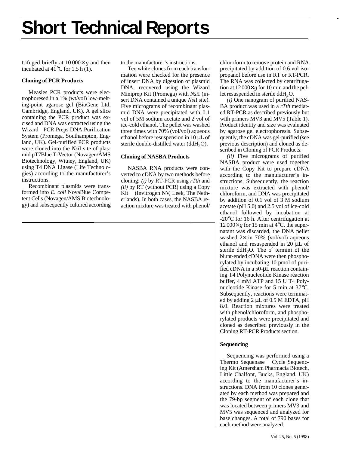## **Short Technical Reports**

trifuged briefly at 10 000× *g* and then incubated at  $41^{\circ}$ C for 1.5 h (1).

#### **Cloning of PCR Products**

Measles PCR products were electrophoresed in a 1% (wt/vol) low-melting-point agarose gel (BioGene Ltd, Cambridge, England, UK). A gel slice containing the PCR product was excised and DNA was extracted using the Wizard<sup>®</sup> PCR Preps DNA Purification System (Promega, Southampton, England, UK). Gel-purified PCR products were cloned into the *Nsi*I site of plasmid pT7Blue T-Vector (Novagen/AMS Biotechnology, Witney, England, UK) using T4 DNA Ligase (Life Technologies) according to the manufacturer's instructions.

Recombinant plasmids were transformed into *E. coli* NovaBlue Competent Cells (Novagen/AMS Biotechnology) and subsequently cultured according to the manufacturer's instructions.

Ten white clones from each transformation were checked for the presence of insert DNA by digestion of plasmid DNA, recovered using the Wizard Miniprep Kit (Promega) with *Nsi*I (insert DNA contained a unique *Nsi*I site). Five micrograms of recombinant plasmid DNA were precipitated with 0.1 vol of 5M sodium acetate and 2 vol of ice-cold ethanol. The pellet was washed three times with 70% (vol/vol) aqueous ethanol before resuspension in 10 µL of sterile double-distilled water  $(ddH_2O)$ .

#### **Cloning of NASBA Products**

NASBA RNA products were converted to cDNA by two methods before cloning: *(i)* by RT-PCR using *rTth* and *(ii)* by RT (without PCR) using a Copy  $Kit^{TM}$  (Invitrogen NV, Leek, The Netherlands). In both cases, the NASBA reaction mixture was treated with phenol/ chloroform to remove protein and RNA precipitated by addition of 0.6 vol isopropanol before use in RT or RT-PCR. The RNA was collected by centrifugation at 12000× *g* for 10 min and the pellet resuspended in sterile dd $H_2O$ .

*(i)* One nanogram of purified NAS-BA product was used in a *rTth* mediated RT-PCR as described previously but with primers MV3 and MV5 (Table 1). Product identity and size was evaluated by agarose gel electrophoresis. Subsequently, the cDNA was gel-purified (see previous description) and cloned as described in Cloning of PCR Products.

*(ii)* Five micrograms of purified NASBA product were used together with the Copy Kit to prepare cDNA according to the manufacturer's instructions. Subsequently, the reaction mixture was extracted with phenol/ chloroform, and DNA was precipitated by addition of 0.1 vol of 3 M sodium acetate (pH 5.0) and 2.5 vol of ice-cold ethanol followed by incubation at -20°C for 16 h. After centrifugation at  $12000\times g$  for 15 min at 4<sup>o</sup>C, the supernatant was discarded, the DNA pellet washed  $2 \times$  in 70% (vol/vol) aqueous ethanol and resuspended in 20 µL of sterile ddH<sub>2</sub>O. The 5' termini of the blunt-ended cDNA were then phosphorylated by incubating 10 pmol of purified cDNA in a 50-µL reaction containing T4 Polynucleotide Kinase reaction buffer, 4 mM ATP and 15 U T4 Polynucleotide Kinase for 5 min at 37°C. Subsequently, reactions were terminated by adding 2 µL of 0.5 M EDTA, pH 8.0. Reaction mixtures were treated with phenol/chloroform, and phosphorylated products were precipitated and cloned as described previously in the Cloning RT-PCR Products section.

#### **Sequencing**

Sequencing was performed using a Thermo Sequenase<sup>TM</sup> Cycle Sequencing Kit (Amersham Pharmacia Biotech, Little Chalfont, Bucks, England, UK) according to the manufacturer's instructions. DNA from 10 clones generated by each method was prepared and the 79-bp segment of each clone that was located between primers MV3 and MV5 was sequenced and analyzed for base changes. A total of 790 bases for each method were analyzed.